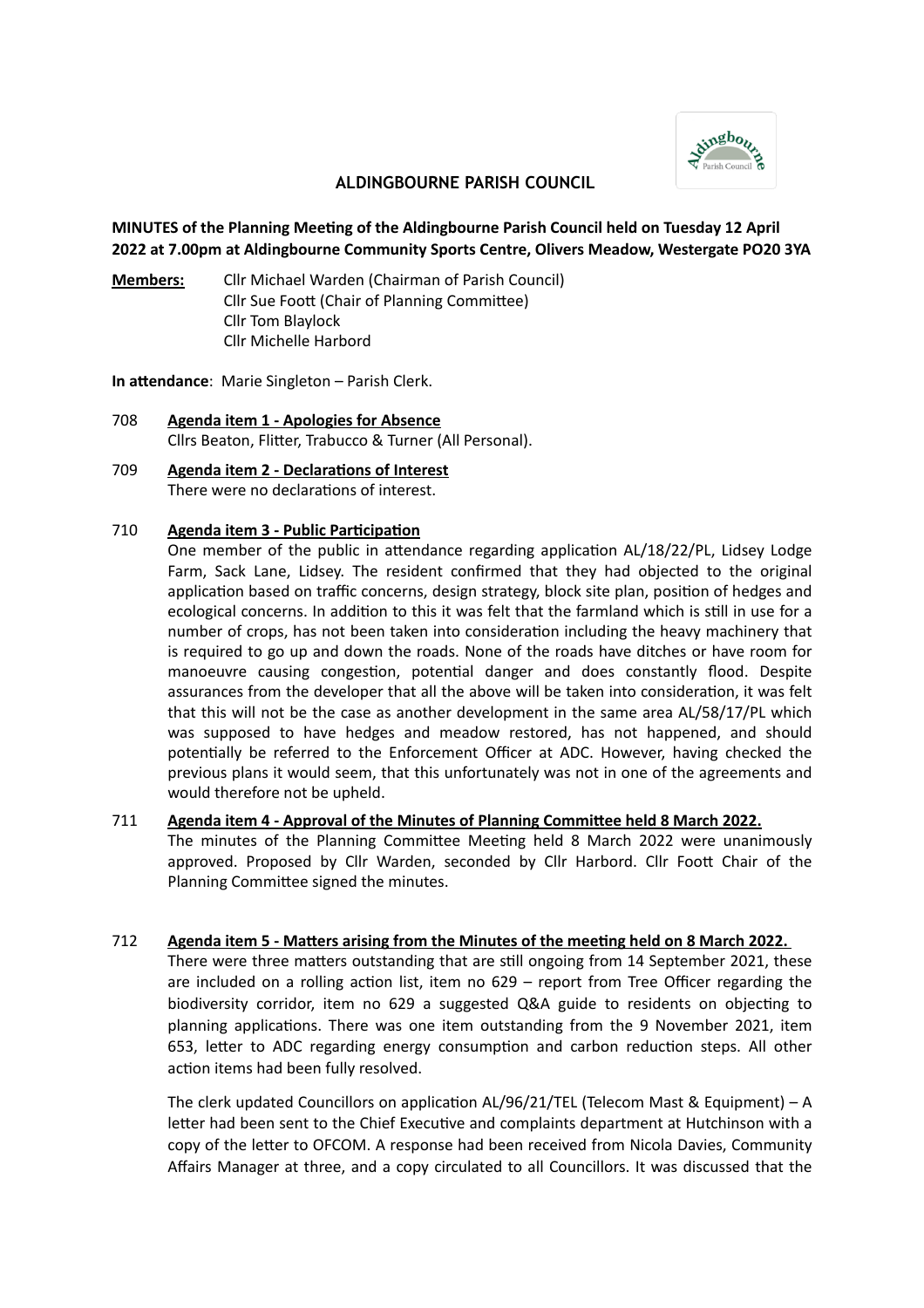

## **ALDINGBOURNE PARISH COUNCIL**

## **MINUTES of the Planning Meeting of the Aldingbourne Parish Council held on Tuesday 12 April 2022 at 7.00pm at Aldingbourne Community Sports Centre, Olivers Meadow, Westergate PO20 3YA**

**Members:** Cllr Michael Warden (Chairman of Parish Council) Cllr Sue Foott (Chair of Planning Committee) Cllr Tom Blaylock Cllr Michelle Harbord

**In attendance**: Marie Singleton – Parish Clerk.

- 708 **Agenda item 1 Apologies for Absence** Cllrs Beaton, Flitter, Trabucco & Turner (All Personal).
- 709 **Agenda item 2 Declarations of Interest** There were no declarations of interest.

#### 710 **Agenda item 3 - Public Participation**

One member of the public in attendance regarding application AL/18/22/PL, Lidsey Lodge Farm, Sack Lane, Lidsey. The resident confirmed that they had objected to the original application based on traffic concerns, design strategy, block site plan, position of hedges and ecological concerns. In addition to this it was felt that the farmland which is still in use for a number of crops, has not been taken into consideration including the heavy machinery that is required to go up and down the roads. None of the roads have ditches or have room for manoeuvre causing congestion, potential danger and does constantly flood. Despite assurances from the developer that all the above will be taken into consideration, it was felt that this will not be the case as another development in the same area AL/58/17/PL which was supposed to have hedges and meadow restored, has not happened, and should potentially be referred to the Enforcement Officer at ADC. However, having checked the previous plans it would seem, that this unfortunately was not in one of the agreements and would therefore not be upheld.

#### 711 **Agenda item 4 - Approval of the Minutes of Planning Committee held 8 March 2022.**

The minutes of the Planning Committee Meeting held 8 March 2022 were unanimously approved. Proposed by Cllr Warden, seconded by Cllr Harbord. Cllr Foott Chair of the Planning Committee signed the minutes.

#### 712 **Agenda item 5 - Matters arising from the Minutes of the meeting held on 8 March 2022.**

There were three matters outstanding that are still ongoing from 14 September 2021, these are included on a rolling action list, item no 629 – report from Tree Officer regarding the biodiversity corridor, item no 629 a suggested Q&A guide to residents on objecting to planning applications. There was one item outstanding from the 9 November 2021, item 653, letter to ADC regarding energy consumption and carbon reduction steps. All other action items had been fully resolved.

The clerk updated Councillors on application AL/96/21/TEL (Telecom Mast & Equipment) – A letter had been sent to the Chief Executive and complaints department at Hutchinson with a copy of the letter to OFCOM. A response had been received from Nicola Davies, Community Affairs Manager at three, and a copy circulated to all Councillors. It was discussed that the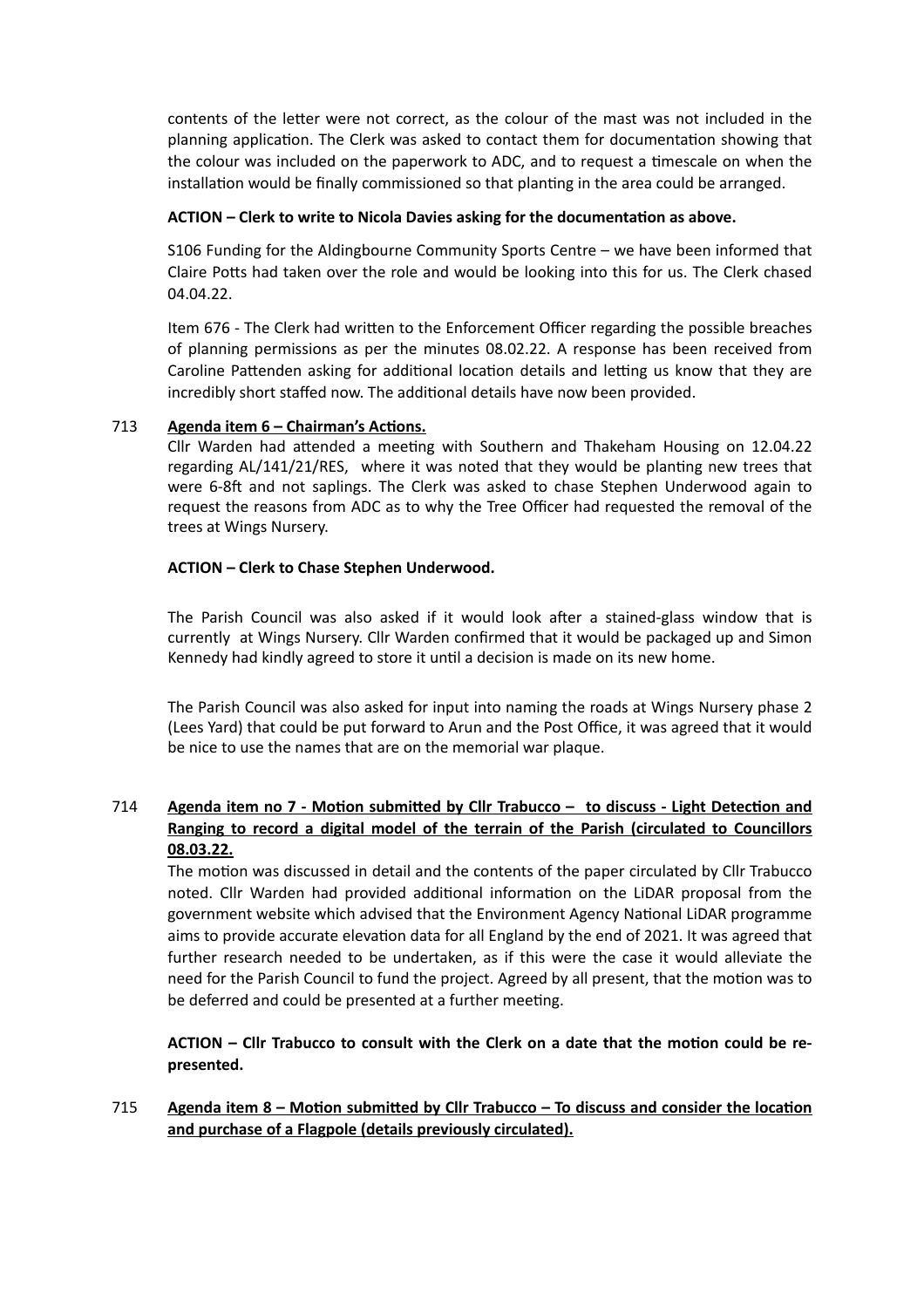contents of the letter were not correct, as the colour of the mast was not included in the planning application. The Clerk was asked to contact them for documentation showing that the colour was included on the paperwork to ADC, and to request a timescale on when the installation would be finally commissioned so that planting in the area could be arranged.

### **ACTION – Clerk to write to Nicola Davies asking for the documentation as above.**

S106 Funding for the Aldingbourne Community Sports Centre – we have been informed that Claire Potts had taken over the role and would be looking into this for us. The Clerk chased 04.04.22.

Item 676 - The Clerk had written to the Enforcement Officer regarding the possible breaches of planning permissions as per the minutes 08.02.22. A response has been received from Caroline Pattenden asking for additional location details and letting us know that they are incredibly short staffed now. The additional details have now been provided.

## 713 **Agenda item 6 – Chairman's Actions.**

Cllr Warden had attended a meeting with Southern and Thakeham Housing on 12.04.22 regarding AL/141/21/RES, where it was noted that they would be planting new trees that were 6-8ft and not saplings. The Clerk was asked to chase Stephen Underwood again to request the reasons from ADC as to why the Tree Officer had requested the removal of the trees at Wings Nursery.

## **ACTION – Clerk to Chase Stephen Underwood.**

The Parish Council was also asked if it would look after a stained-glass window that is currently at Wings Nursery. Cllr Warden confirmed that it would be packaged up and Simon Kennedy had kindly agreed to store it until a decision is made on its new home.

The Parish Council was also asked for input into naming the roads at Wings Nursery phase 2 (Lees Yard) that could be put forward to Arun and the Post Office, it was agreed that it would be nice to use the names that are on the memorial war plaque.

# 714 **Agenda item no 7 - Motion submitted by Cllr Trabucco – to discuss - Light Detection and Ranging to record a digital model of the terrain of the Parish (circulated to Councillors 08.03.22.**

The motion was discussed in detail and the contents of the paper circulated by Cllr Trabucco noted. Cllr Warden had provided additional information on the LiDAR proposal from the government website which advised that the Environment Agency National LiDAR programme aims to provide accurate elevation data for all England by the end of 2021. It was agreed that further research needed to be undertaken, as if this were the case it would alleviate the need for the Parish Council to fund the project. Agreed by all present, that the motion was to be deferred and could be presented at a further meeting.

**ACTION – Cllr Trabucco to consult with the Clerk on a date that the motion could be represented.**

715 **Agenda item 8 – Motion submitted by Cllr Trabucco – To discuss and consider the location and purchase of a Flagpole (details previously circulated).**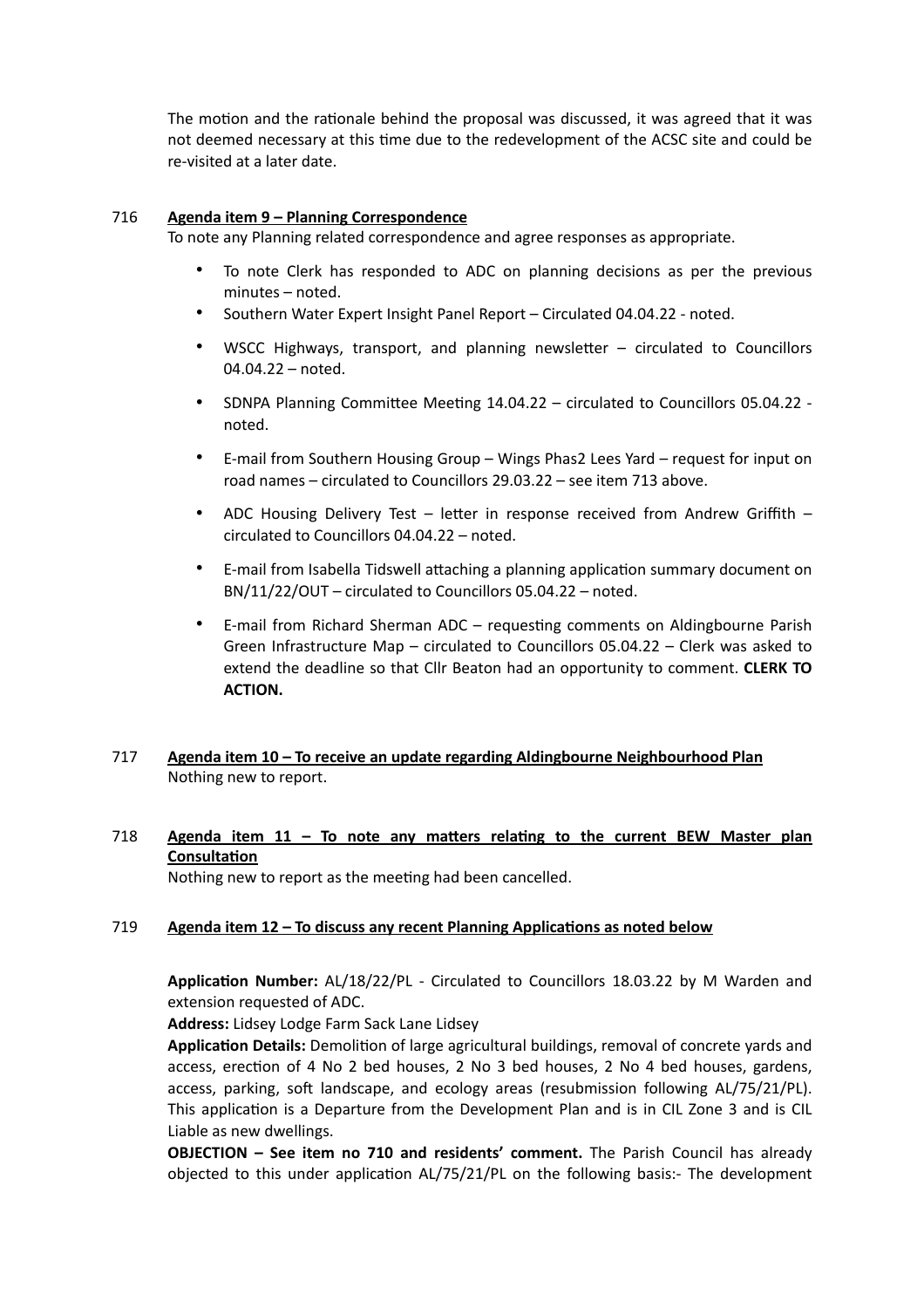The motion and the rationale behind the proposal was discussed, it was agreed that it was not deemed necessary at this time due to the redevelopment of the ACSC site and could be re-visited at a later date.

#### 716 **Agenda item 9 – Planning Correspondence**

To note any Planning related correspondence and agree responses as appropriate.

- To note Clerk has responded to ADC on planning decisions as per the previous minutes – noted.
- Southern Water Expert Insight Panel Report Circulated 04.04.22 noted.
- WSCC Highways, transport, and planning newsletter circulated to Councillors 04.04.22 – noted.
- SDNPA Planning Committee Meeting 14.04.22 circulated to Councillors 05.04.22 noted.
- E-mail from Southern Housing Group Wings Phas2 Lees Yard request for input on road names – circulated to Councillors 29.03.22 – see item 713 above.
- ADC Housing Delivery Test letter in response received from Andrew Griffith circulated to Councillors 04.04.22 – noted.
- E-mail from Isabella Tidswell attaching a planning application summary document on BN/11/22/OUT – circulated to Councillors 05.04.22 – noted.
- E-mail from Richard Sherman ADC requesting comments on Aldingbourne Parish Green Infrastructure Map – circulated to Councillors 05.04.22 – Clerk was asked to extend the deadline so that Cllr Beaton had an opportunity to comment. **CLERK TO ACTION.**

## 717 **Agenda item 10 – To receive an update regarding Aldingbourne Neighbourhood Plan** Nothing new to report.

## 718 **Agenda item 11 – To note any matters relating to the current BEW Master plan Consultation**

Nothing new to report as the meeting had been cancelled.

#### 719 **Agenda item 12 – To discuss any recent Planning Applications as noted below**

**Application Number:** AL/18/22/PL - Circulated to Councillors 18.03.22 by M Warden and extension requested of ADC.

**Address:** Lidsey Lodge Farm Sack Lane Lidsey

**Application Details:** Demolition of large agricultural buildings, removal of concrete yards and access, erection of 4 No 2 bed houses, 2 No 3 bed houses, 2 No 4 bed houses, gardens, access, parking, soft landscape, and ecology areas (resubmission following AL/75/21/PL). This application is a Departure from the Development Plan and is in CIL Zone 3 and is CIL Liable as new dwellings.

**OBJECTION – See item no 710 and residents' comment.** The Parish Council has already objected to this under application AL/75/21/PL on the following basis:- The development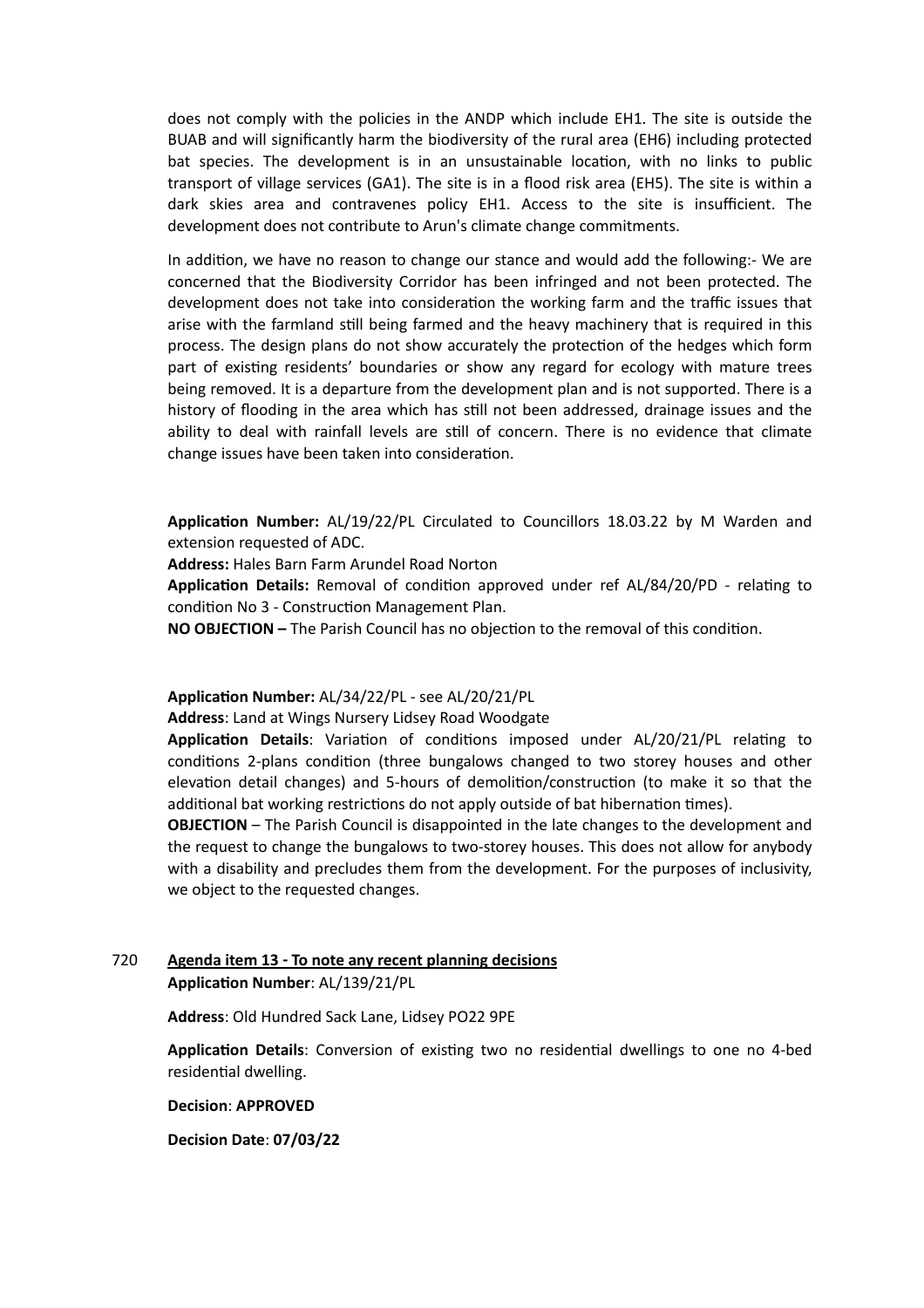does not comply with the policies in the ANDP which include EH1. The site is outside the BUAB and will significantly harm the biodiversity of the rural area (EH6) including protected bat species. The development is in an unsustainable location, with no links to public transport of village services (GA1). The site is in a flood risk area (EH5). The site is within a dark skies area and contravenes policy EH1. Access to the site is insufficient. The development does not contribute to Arun's climate change commitments.

In addition, we have no reason to change our stance and would add the following:- We are concerned that the Biodiversity Corridor has been infringed and not been protected. The development does not take into consideration the working farm and the traffic issues that arise with the farmland still being farmed and the heavy machinery that is required in this process. The design plans do not show accurately the protection of the hedges which form part of existing residents' boundaries or show any regard for ecology with mature trees being removed. It is a departure from the development plan and is not supported. There is a history of flooding in the area which has still not been addressed, drainage issues and the ability to deal with rainfall levels are still of concern. There is no evidence that climate change issues have been taken into consideration.

**Application Number:** AL/19/22/PL Circulated to Councillors 18.03.22 by M Warden and extension requested of ADC.

**Address:** Hales Barn Farm Arundel Road Norton

**Application Details:** Removal of condition approved under ref AL/84/20/PD - relating to condition No 3 - Construction Management Plan.

**NO OBJECTION –** The Parish Council has no objection to the removal of this condition.

#### **Application Number:** AL/34/22/PL - see AL/20/21/PL

**Address**: Land at Wings Nursery Lidsey Road Woodgate

**Application Details**: Variation of conditions imposed under AL/20/21/PL relating to conditions 2-plans condition (three bungalows changed to two storey houses and other elevation detail changes) and 5-hours of demolition/construction (to make it so that the additional bat working restrictions do not apply outside of bat hibernation times).

**OBJECTION** – The Parish Council is disappointed in the late changes to the development and the request to change the bungalows to two-storey houses. This does not allow for anybody with a disability and precludes them from the development. For the purposes of inclusivity, we object to the requested changes.

## 720 **Agenda item 13 - To note any recent planning decisions Application Number**: AL/139/21/PL

**Address**: Old Hundred Sack Lane, Lidsey PO22 9PE

**Application Details**: Conversion of existing two no residential dwellings to one no 4-bed residential dwelling.

**Decision**: **APPROVED**

**Decision Date**: **07/03/22**